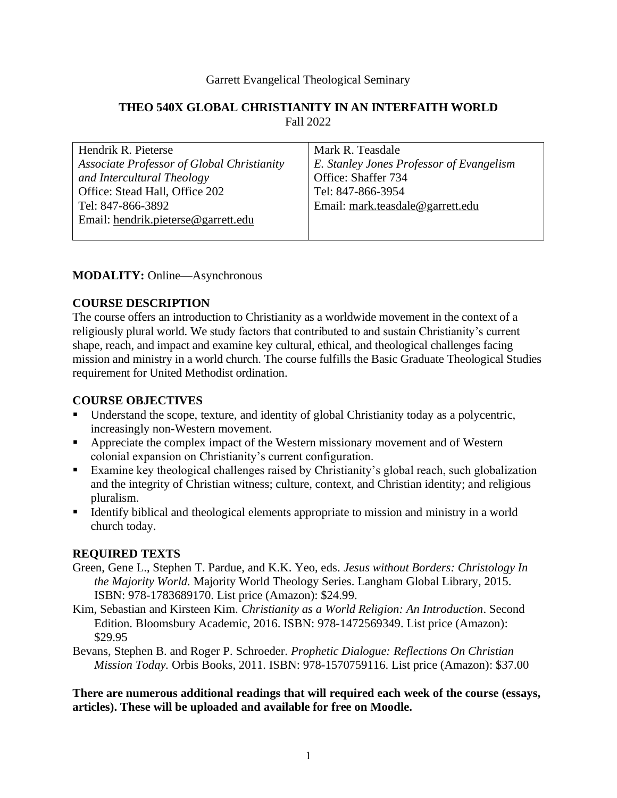#### Garrett Evangelical Theological Seminary

#### **THEO 540X GLOBAL CHRISTIANITY IN AN INTERFAITH WORLD** Fall 2022

| Hendrik R. Pieterse                        | Mark R. Teasdale                         |
|--------------------------------------------|------------------------------------------|
| Associate Professor of Global Christianity | E. Stanley Jones Professor of Evangelism |
| and Intercultural Theology                 | Office: Shaffer 734                      |
| Office: Stead Hall, Office 202             | Tel: 847-866-3954                        |
| Tel: 847-866-3892                          | Email: mark.teasdale@garrett.edu         |
| Email: hendrik.pieterse@garrett.edu        |                                          |
|                                            |                                          |

#### **MODALITY:** Online—Asynchronous

### **COURSE DESCRIPTION**

The course offers an introduction to Christianity as a worldwide movement in the context of a religiously plural world. We study factors that contributed to and sustain Christianity's current shape, reach, and impact and examine key cultural, ethical, and theological challenges facing mission and ministry in a world church. The course fulfills the Basic Graduate Theological Studies requirement for United Methodist ordination.

#### **COURSE OBJECTIVES**

- Understand the scope, texture, and identity of global Christianity today as a polycentric, increasingly non-Western movement.
- **EXECUTE:** Appreciate the complex impact of the Western missionary movement and of Western colonial expansion on Christianity's current configuration.
- Examine key theological challenges raised by Christianity's global reach, such globalization and the integrity of Christian witness; culture, context, and Christian identity; and religious pluralism.
- Identify biblical and theological elements appropriate to mission and ministry in a world church today.

### **REQUIRED TEXTS**

- Green, Gene L., Stephen T. Pardue, and K.K. Yeo, eds. *Jesus without Borders: Christology In the Majority World.* Majority World Theology Series. Langham Global Library, 2015. ISBN: 978-1783689170. List price (Amazon): \$24.99.
- Kim, Sebastian and Kirsteen Kim. *Christianity as a World Religion: An Introduction*. Second Edition. Bloomsbury Academic, 2016. ISBN: 978-1472569349. List price (Amazon): \$29.95
- Bevans, Stephen B. and Roger P. Schroeder. *Prophetic Dialogue: Reflections On Christian Mission Today.* Orbis Books, 2011. ISBN: 978-1570759116. List price (Amazon): \$37.00

**There are numerous additional readings that will required each week of the course (essays, articles). These will be uploaded and available for free on Moodle.**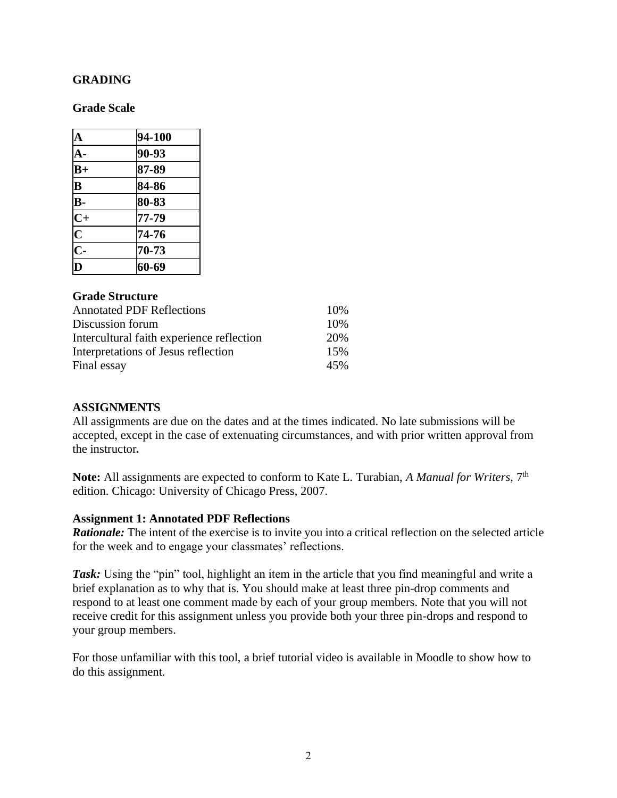#### **GRADING**

#### **Grade Scale**

| $\mathbf A$               | 94-100 |
|---------------------------|--------|
| $\mathbf{A}$ -            | 90-93  |
| $B+$                      | 87-89  |
| $\overline{\mathbf{B}}$   | 84-86  |
| $\overline{B}$ -          | 80-83  |
| $\overline{C}$            | 77-79  |
| $\overline{\mathbf{C}}$   | 74-76  |
| $\overline{\overline{C}}$ | 70-73  |
| D                         | 60-69  |

### **Grade Structure**

| <b>Annotated PDF Reflections</b>          | 10% |
|-------------------------------------------|-----|
| Discussion forum                          | 10% |
| Intercultural faith experience reflection | 20% |
| Interpretations of Jesus reflection       | 15% |
| Final essay                               | 45% |

#### **ASSIGNMENTS**

All assignments are due on the dates and at the times indicated. No late submissions will be accepted, except in the case of extenuating circumstances, and with prior written approval from the instructor*.*

**Note:** All assignments are expected to conform to Kate L. Turabian, *A Manual for Writers,* 7 th edition. Chicago: University of Chicago Press, 2007.

#### **Assignment 1: Annotated PDF Reflections**

*Rationale:* The intent of the exercise is to invite you into a critical reflection on the selected article for the week and to engage your classmates' reflections.

**Task:** Using the "pin" tool, highlight an item in the article that you find meaningful and write a brief explanation as to why that is. You should make at least three pin-drop comments and respond to at least one comment made by each of your group members. Note that you will not receive credit for this assignment unless you provide both your three pin-drops and respond to your group members.

For those unfamiliar with this tool, a brief tutorial video is available in Moodle to show how to do this assignment.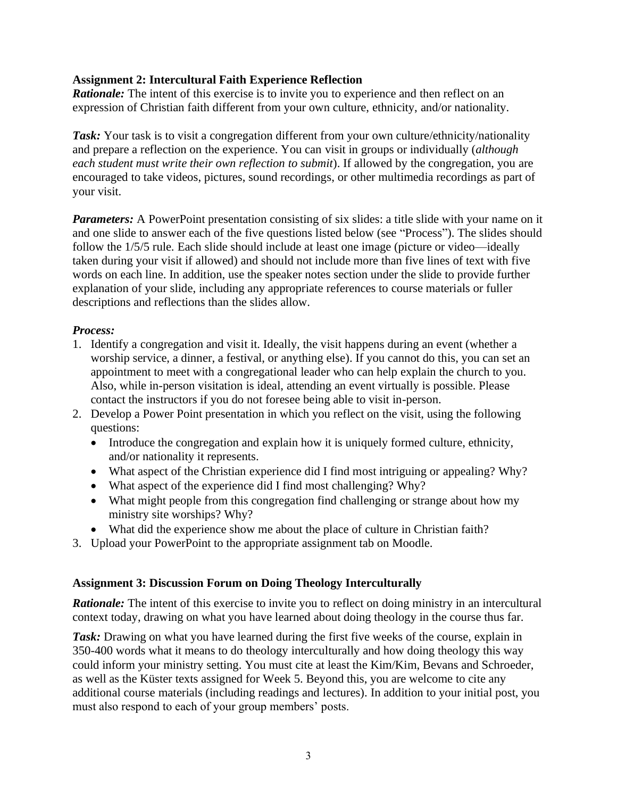### **Assignment 2: Intercultural Faith Experience Reflection**

*Rationale:* The intent of this exercise is to invite you to experience and then reflect on an expression of Christian faith different from your own culture, ethnicity, and/or nationality.

**Task:** Your task is to visit a congregation different from your own culture/ethnicity/nationality and prepare a reflection on the experience. You can visit in groups or individually (*although each student must write their own reflection to submit*). If allowed by the congregation, you are encouraged to take videos, pictures, sound recordings, or other multimedia recordings as part of your visit.

*Parameters:* A PowerPoint presentation consisting of six slides: a title slide with your name on it and one slide to answer each of the five questions listed below (see "Process"). The slides should follow the 1/5/5 rule. Each slide should include at least one image (picture or video—ideally taken during your visit if allowed) and should not include more than five lines of text with five words on each line. In addition, use the speaker notes section under the slide to provide further explanation of your slide, including any appropriate references to course materials or fuller descriptions and reflections than the slides allow.

### *Process:*

- 1. Identify a congregation and visit it. Ideally, the visit happens during an event (whether a worship service, a dinner, a festival, or anything else). If you cannot do this, you can set an appointment to meet with a congregational leader who can help explain the church to you. Also, while in-person visitation is ideal, attending an event virtually is possible. Please contact the instructors if you do not foresee being able to visit in-person.
- 2. Develop a Power Point presentation in which you reflect on the visit, using the following questions:
	- Introduce the congregation and explain how it is uniquely formed culture, ethnicity, and/or nationality it represents.
	- What aspect of the Christian experience did I find most intriguing or appealing? Why?
	- What aspect of the experience did I find most challenging? Why?
	- What might people from this congregation find challenging or strange about how my ministry site worships? Why?
	- What did the experience show me about the place of culture in Christian faith?
- 3. Upload your PowerPoint to the appropriate assignment tab on Moodle.

### **Assignment 3: Discussion Forum on Doing Theology Interculturally**

*Rationale:* The intent of this exercise to invite you to reflect on doing ministry in an intercultural context today, drawing on what you have learned about doing theology in the course thus far.

**Task:** Drawing on what you have learned during the first five weeks of the course, explain in 350-400 words what it means to do theology interculturally and how doing theology this way could inform your ministry setting. You must cite at least the Kim/Kim, Bevans and Schroeder, as well as the Küster texts assigned for Week 5. Beyond this, you are welcome to cite any additional course materials (including readings and lectures). In addition to your initial post, you must also respond to each of your group members' posts.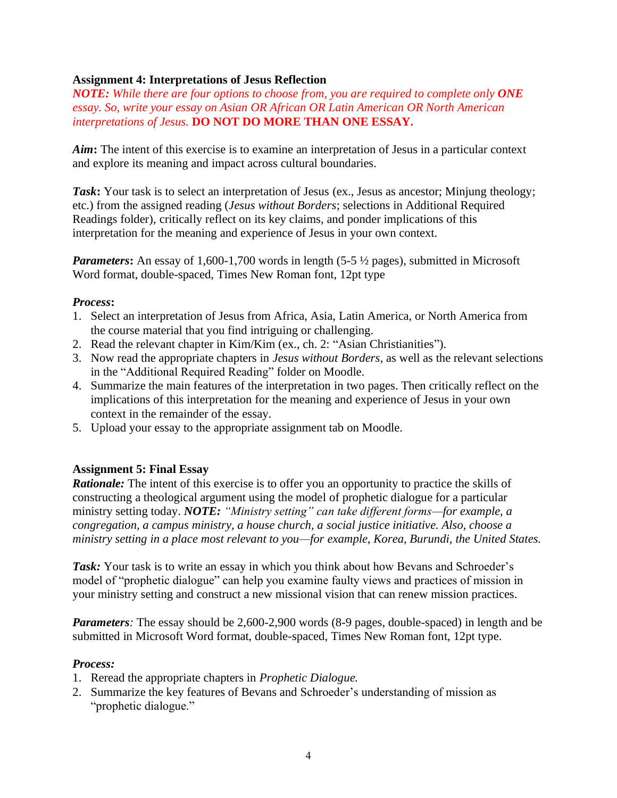### **Assignment 4: Interpretations of Jesus Reflection**

*NOTE: While there are four options to choose from, you are required to complete only ONE essay. So, write your essay on Asian OR African OR Latin American OR North American interpretations of Jesus.* **DO NOT DO MORE THAN ONE ESSAY.**

*Aim***:** The intent of this exercise is to examine an interpretation of Jesus in a particular context and explore its meaning and impact across cultural boundaries.

**Task:** Your task is to select an interpretation of Jesus (ex., Jesus as ancestor; Minjung theology; etc.) from the assigned reading (*Jesus without Borders*; selections in Additional Required Readings folder), critically reflect on its key claims, and ponder implications of this interpretation for the meaning and experience of Jesus in your own context.

*Parameters*: An essay of 1,600-1,700 words in length (5-5  $\frac{1}{2}$  pages), submitted in Microsoft Word format, double-spaced, Times New Roman font, 12pt type

#### *Process***:**

- 1. Select an interpretation of Jesus from Africa, Asia, Latin America, or North America from the course material that you find intriguing or challenging.
- 2. Read the relevant chapter in Kim/Kim (ex., ch. 2: "Asian Christianities").
- 3. Now read the appropriate chapters in *Jesus without Borders*, as well as the relevant selections in the "Additional Required Reading" folder on Moodle.
- 4. Summarize the main features of the interpretation in two pages. Then critically reflect on the implications of this interpretation for the meaning and experience of Jesus in your own context in the remainder of the essay.
- 5. Upload your essay to the appropriate assignment tab on Moodle.

### **Assignment 5: Final Essay**

*Rationale:* The intent of this exercise is to offer you an opportunity to practice the skills of constructing a theological argument using the model of prophetic dialogue for a particular ministry setting today. *NOTE: "Ministry setting" can take different forms—for example, a congregation, a campus ministry, a house church, a social justice initiative. Also, choose a ministry setting in a place most relevant to you—for example, Korea, Burundi, the United States.*

**Task:** Your task is to write an essay in which you think about how Bevans and Schroeder's model of "prophetic dialogue" can help you examine faulty views and practices of mission in your ministry setting and construct a new missional vision that can renew mission practices.

*Parameters:* The essay should be 2,600-2,900 words (8-9 pages, double-spaced) in length and be submitted in Microsoft Word format, double-spaced, Times New Roman font, 12pt type.

#### *Process:*

- 1. Reread the appropriate chapters in *Prophetic Dialogue.*
- 2. Summarize the key features of Bevans and Schroeder's understanding of mission as "prophetic dialogue."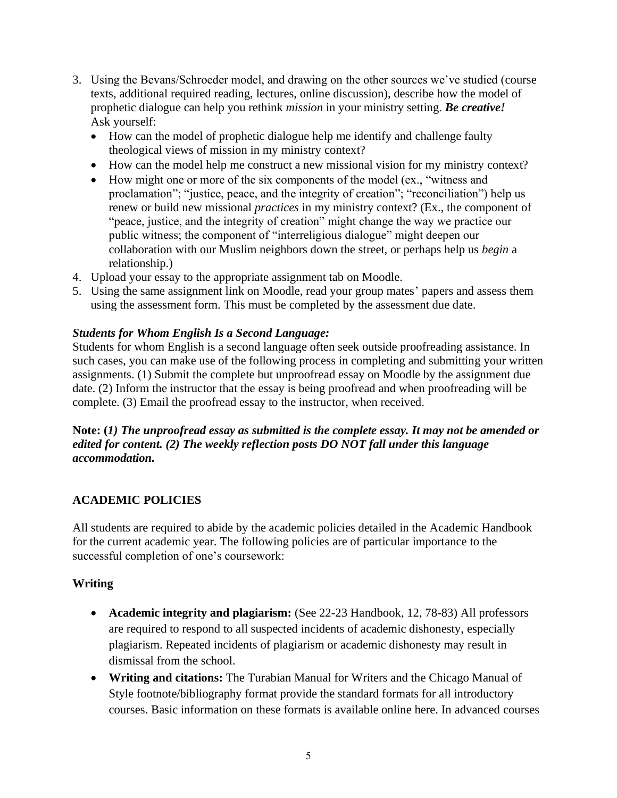- 3. Using the Bevans/Schroeder model, and drawing on the other sources we've studied (course texts, additional required reading, lectures, online discussion), describe how the model of prophetic dialogue can help you rethink *mission* in your ministry setting. *Be creative!* Ask yourself:
	- How can the model of prophetic dialogue help me identify and challenge faulty theological views of mission in my ministry context?
	- How can the model help me construct a new missional vision for my ministry context?
	- How might one or more of the six components of the model (ex., "witness and proclamation"; "justice, peace, and the integrity of creation"; "reconciliation") help us renew or build new missional *practices* in my ministry context? (Ex., the component of "peace, justice, and the integrity of creation" might change the way we practice our public witness; the component of "interreligious dialogue" might deepen our collaboration with our Muslim neighbors down the street, or perhaps help us *begin* a relationship.)
- 4. Upload your essay to the appropriate assignment tab on Moodle.
- 5. Using the same assignment link on Moodle, read your group mates' papers and assess them using the assessment form. This must be completed by the assessment due date.

## *Students for Whom English Is a Second Language:*

Students for whom English is a second language often seek outside proofreading assistance. In such cases, you can make use of the following process in completing and submitting your written assignments. (1) Submit the complete but unproofread essay on Moodle by the assignment due date. (2) Inform the instructor that the essay is being proofread and when proofreading will be complete. (3) Email the proofread essay to the instructor, when received.

## **Note: (***1) The unproofread essay as submitted is the complete essay. It may not be amended or edited for content. (2) The weekly reflection posts DO NOT fall under this language accommodation.*

# **ACADEMIC POLICIES**

All students are required to abide by the academic policies detailed in the Academic Handbook for the current academic year. The following policies are of particular importance to the successful completion of one's coursework:

### **Writing**

- **Academic integrity and plagiarism:** (See 22-23 Handbook, 12, 78-83) All professors are required to respond to all suspected incidents of academic dishonesty, especially plagiarism. Repeated incidents of plagiarism or academic dishonesty may result in dismissal from the school.
- **Writing and citations:** The Turabian Manual for Writers and the Chicago Manual of Style footnote/bibliography format provide the standard formats for all introductory courses. Basic information on these formats is available online here. In advanced courses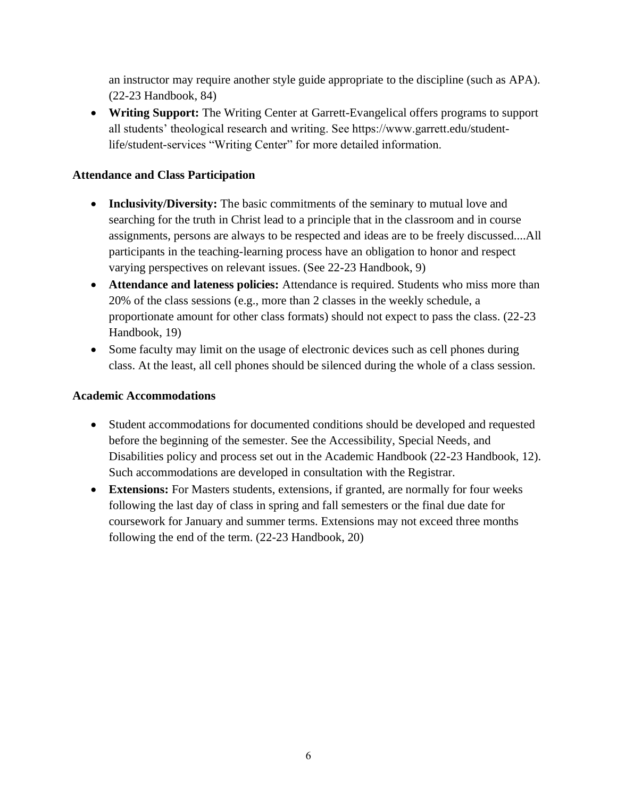an instructor may require another style guide appropriate to the discipline (such as APA). (22-23 Handbook, 84)

• **Writing Support:** The Writing Center at Garrett-Evangelical offers programs to support all students' theological research and writing. See https://www.garrett.edu/studentlife/student-services "Writing Center" for more detailed information.

### **Attendance and Class Participation**

- **Inclusivity/Diversity:** The basic commitments of the seminary to mutual love and searching for the truth in Christ lead to a principle that in the classroom and in course assignments, persons are always to be respected and ideas are to be freely discussed....All participants in the teaching-learning process have an obligation to honor and respect varying perspectives on relevant issues. (See 22-23 Handbook, 9)
- **Attendance and lateness policies:** Attendance is required. Students who miss more than 20% of the class sessions (e.g., more than 2 classes in the weekly schedule, a proportionate amount for other class formats) should not expect to pass the class. (22-23 Handbook, 19)
- Some faculty may limit on the usage of electronic devices such as cell phones during class. At the least, all cell phones should be silenced during the whole of a class session.

## **Academic Accommodations**

- Student accommodations for documented conditions should be developed and requested before the beginning of the semester. See the Accessibility, Special Needs, and Disabilities policy and process set out in the Academic Handbook (22-23 Handbook, 12). Such accommodations are developed in consultation with the Registrar.
- **Extensions:** For Masters students, extensions, if granted, are normally for four weeks following the last day of class in spring and fall semesters or the final due date for coursework for January and summer terms. Extensions may not exceed three months following the end of the term. (22-23 Handbook, 20)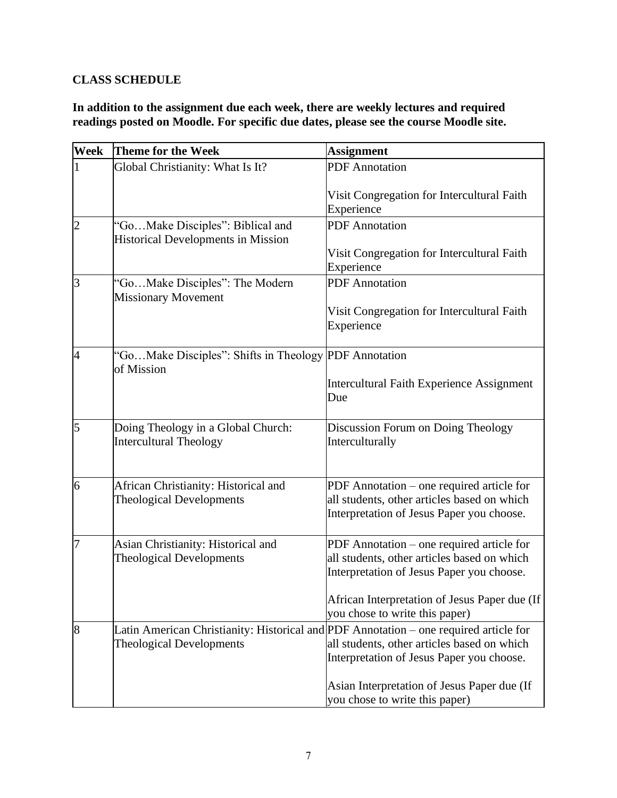# **CLASS SCHEDULE**

**In addition to the assignment due each week, there are weekly lectures and required readings posted on Moodle. For specific due dates, please see the course Moodle site.**

| Week           | <b>Theme for the Week</b>                                                             | <b>Assignment</b>                                                                                                                     |
|----------------|---------------------------------------------------------------------------------------|---------------------------------------------------------------------------------------------------------------------------------------|
|                | Global Christianity: What Is It?                                                      | <b>PDF</b> Annotation                                                                                                                 |
|                |                                                                                       | Visit Congregation for Intercultural Faith<br>Experience                                                                              |
| $\overline{c}$ | 'GoMake Disciples": Biblical and<br><b>Historical Developments in Mission</b>         | <b>PDF</b> Annotation                                                                                                                 |
|                |                                                                                       | Visit Congregation for Intercultural Faith<br>Experience                                                                              |
| 3              | "GoMake Disciples": The Modern<br><b>Missionary Movement</b>                          | <b>PDF</b> Annotation                                                                                                                 |
|                |                                                                                       | Visit Congregation for Intercultural Faith<br>Experience                                                                              |
| $\overline{4}$ | "GoMake Disciples": Shifts in Theology PDF Annotation<br>of Mission                   |                                                                                                                                       |
|                |                                                                                       | <b>Intercultural Faith Experience Assignment</b><br>Due                                                                               |
| 5              | Doing Theology in a Global Church:<br><b>Intercultural Theology</b>                   | Discussion Forum on Doing Theology<br>Interculturally                                                                                 |
| 6              | African Christianity: Historical and<br><b>Theological Developments</b>               | PDF Annotation - one required article for<br>all students, other articles based on which<br>Interpretation of Jesus Paper you choose. |
| 7              | Asian Christianity: Historical and<br><b>Theological Developments</b>                 | PDF Annotation – one required article for<br>all students, other articles based on which<br>Interpretation of Jesus Paper you choose. |
|                |                                                                                       | African Interpretation of Jesus Paper due (If<br>you chose to write this paper)                                                       |
| 8              | Latin American Christianity: Historical and PDF Annotation – one required article for |                                                                                                                                       |
|                | <b>Theological Developments</b>                                                       | all students, other articles based on which<br>Interpretation of Jesus Paper you choose.                                              |
|                |                                                                                       | Asian Interpretation of Jesus Paper due (If<br>you chose to write this paper)                                                         |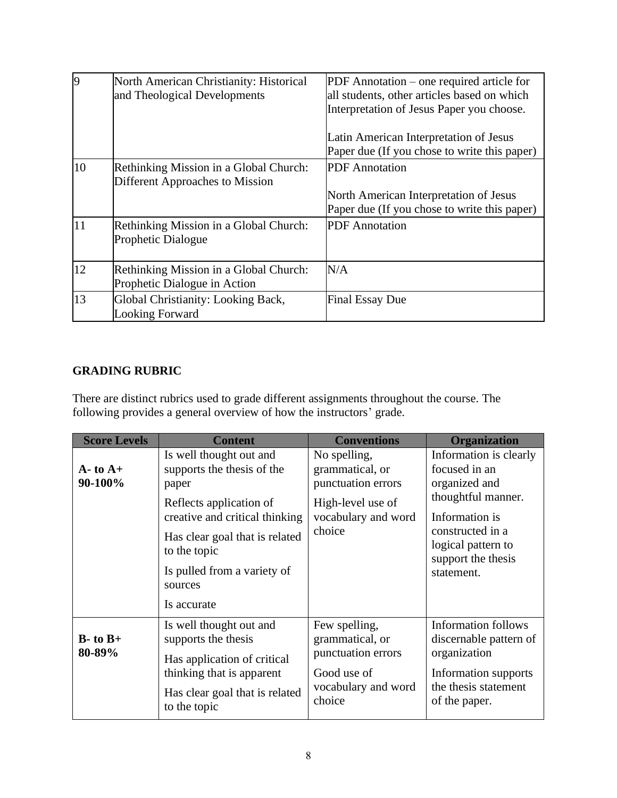| 9  | North American Christianity: Historical<br>and Theological Developments   | PDF Annotation – one required article for<br>all students, other articles based on which<br>Interpretation of Jesus Paper you choose.<br>Latin American Interpretation of Jesus<br>Paper due (If you chose to write this paper) |
|----|---------------------------------------------------------------------------|---------------------------------------------------------------------------------------------------------------------------------------------------------------------------------------------------------------------------------|
| 10 | Rethinking Mission in a Global Church:<br>Different Approaches to Mission | <b>PDF</b> Annotation<br>North American Interpretation of Jesus<br>Paper due (If you chose to write this paper)                                                                                                                 |
| 11 | Rethinking Mission in a Global Church:<br>Prophetic Dialogue              | <b>PDF</b> Annotation                                                                                                                                                                                                           |
| 12 | Rethinking Mission in a Global Church:<br>Prophetic Dialogue in Action    | N/A                                                                                                                                                                                                                             |
| 13 | Global Christianity: Looking Back,<br><b>Looking Forward</b>              | <b>Final Essay Due</b>                                                                                                                                                                                                          |

## **GRADING RUBRIC**

There are distinct rubrics used to grade different assignments throughout the course. The following provides a general overview of how the instructors' grade.

| <b>Score Levels</b>      | <b>Content</b>                                                                                                                                                                                                                         | <b>Conventions</b>                                                                                          | <b>Organization</b>                                                                                                                                                            |
|--------------------------|----------------------------------------------------------------------------------------------------------------------------------------------------------------------------------------------------------------------------------------|-------------------------------------------------------------------------------------------------------------|--------------------------------------------------------------------------------------------------------------------------------------------------------------------------------|
| $A - t_0 A +$<br>90-100% | Is well thought out and<br>supports the thesis of the<br>paper<br>Reflects application of<br>creative and critical thinking<br>Has clear goal that is related<br>to the topic<br>Is pulled from a variety of<br>sources<br>Is accurate | No spelling,<br>grammatical, or<br>punctuation errors<br>High-level use of<br>vocabulary and word<br>choice | Information is clearly<br>focused in an<br>organized and<br>thoughtful manner.<br>Information is<br>constructed in a<br>logical pattern to<br>support the thesis<br>statement. |
| $B$ - to $B$ +<br>80-89% | Is well thought out and<br>supports the thesis<br>Has application of critical<br>thinking that is apparent<br>Has clear goal that is related<br>to the topic                                                                           | Few spelling,<br>grammatical, or<br>punctuation errors<br>Good use of<br>vocabulary and word<br>choice      | <b>Information follows</b><br>discernable pattern of<br>organization<br>Information supports<br>the thesis statement<br>of the paper.                                          |